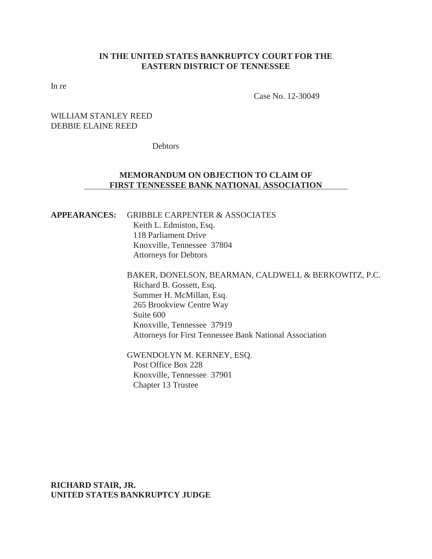# **IN THE UNITED STATES BANKRUPTCY COURT FOR THE EASTERN DISTRICT OF TENNESSEE**

In re

Case No. 12-30049

# WILLIAM STANLEY REED DEBBIE ELAINE REED

**Debtors** 

# **MEMORANDUM ON OBJECTION TO CLAIM OF FIRST TENNESSEE BANK NATIONAL ASSOCIATION**

# **APPEARANCES:** GRIBBLE CARPENTER & ASSOCIATES Keith L. Edmiston, Esq.

 118 Parliament Drive Knoxville, Tennessee 37804 Attorneys for Debtors

# BAKER, DONELSON, BEARMAN, CALDWELL & BERKOWITZ, P.C. Richard B. Gossett, Esq. Summer H. McMillan, Esq. 265 Brookview Centre Way Suite 600 Knoxville, Tennessee 37919 Attorneys for First Tennessee Bank National Association

GWENDOLYN M. KERNEY, ESQ. Post Office Box 228 Knoxville, Tennessee 37901 Chapter 13 Trustee

**RICHARD STAIR, JR. UNITED STATES BANKRUPTCY JUDGE**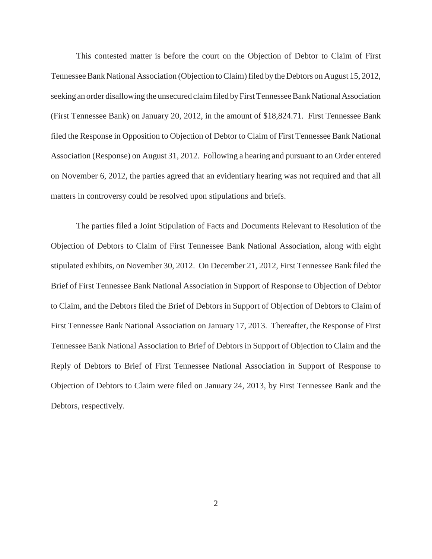This contested matter is before the court on the Objection of Debtor to Claim of First Tennessee Bank National Association (Objection to Claim) filed by the Debtors on August 15, 2012, seeking an order disallowing the unsecured claim filed by First Tennessee Bank National Association (First Tennessee Bank) on January 20, 2012, in the amount of \$18,824.71. First Tennessee Bank filed the Response in Opposition to Objection of Debtor to Claim of First Tennessee Bank National Association (Response) on August 31, 2012. Following a hearing and pursuant to an Order entered on November 6, 2012, the parties agreed that an evidentiary hearing was not required and that all matters in controversy could be resolved upon stipulations and briefs.

The parties filed a Joint Stipulation of Facts and Documents Relevant to Resolution of the Objection of Debtors to Claim of First Tennessee Bank National Association, along with eight stipulated exhibits, on November 30, 2012. On December 21, 2012, First Tennessee Bank filed the Brief of First Tennessee Bank National Association in Support of Response to Objection of Debtor to Claim, and the Debtors filed the Brief of Debtors in Support of Objection of Debtors to Claim of First Tennessee Bank National Association on January 17, 2013. Thereafter, the Response of First Tennessee Bank National Association to Brief of Debtors in Support of Objection to Claim and the Reply of Debtors to Brief of First Tennessee National Association in Support of Response to Objection of Debtors to Claim were filed on January 24, 2013, by First Tennessee Bank and the Debtors, respectively.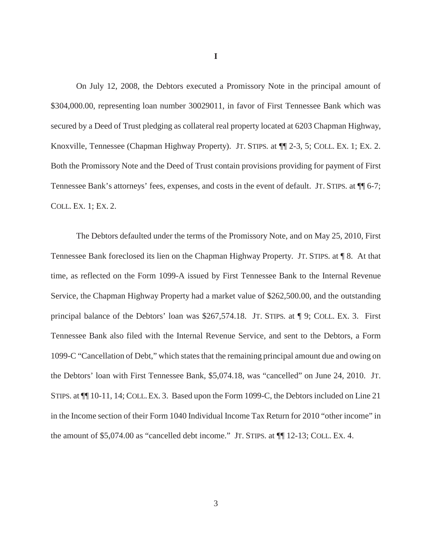On July 12, 2008, the Debtors executed a Promissory Note in the principal amount of \$304,000.00, representing loan number 30029011, in favor of First Tennessee Bank which was secured by a Deed of Trust pledging as collateral real property located at 6203 Chapman Highway, Knoxville, Tennessee (Chapman Highway Property). JT. STIPS. at  $\P$ [2-3, 5; COLL. EX. 1; EX. 2. Both the Promissory Note and the Deed of Trust contain provisions providing for payment of First Tennessee Bank's attorneys' fees, expenses, and costs in the event of default. JT. STIPS. at ¶¶ 6-7; COLL. EX. 1; EX. 2.

The Debtors defaulted under the terms of the Promissory Note, and on May 25, 2010, First Tennessee Bank foreclosed its lien on the Chapman Highway Property. JT. STIPS. at ¶ 8. At that time, as reflected on the Form 1099-A issued by First Tennessee Bank to the Internal Revenue Service, the Chapman Highway Property had a market value of \$262,500.00, and the outstanding principal balance of the Debtors' loan was \$267,574.18. JT. STIPS. at ¶ 9; COLL. EX. 3. First Tennessee Bank also filed with the Internal Revenue Service, and sent to the Debtors, a Form 1099-C "Cancellation of Debt," which states that the remaining principal amount due and owing on the Debtors' loan with First Tennessee Bank, \$5,074.18, was "cancelled" on June 24, 2010. JT. STIPS. at ¶¶ 10-11, 14; COLL.EX. 3. Based upon the Form 1099-C, the Debtors included on Line 21 in the Income section of their Form 1040 Individual Income Tax Return for 2010 "other income" in the amount of \$5,074.00 as "cancelled debt income." JT. STIPS. at  $\P$ [12-13; COLL. EX. 4.

**I**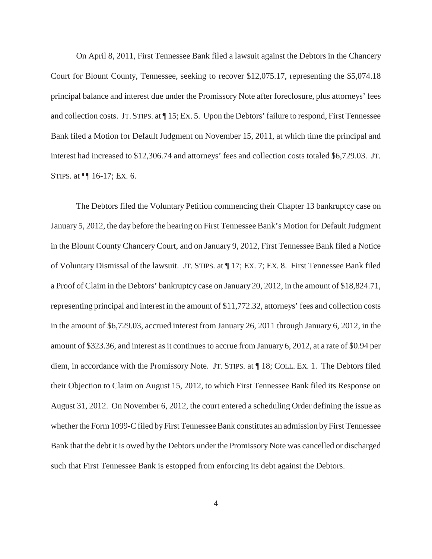On April 8, 2011, First Tennessee Bank filed a lawsuit against the Debtors in the Chancery Court for Blount County, Tennessee, seeking to recover \$12,075.17, representing the \$5,074.18 principal balance and interest due under the Promissory Note after foreclosure, plus attorneys' fees and collection costs. JT.STIPS. at ¶ 15; EX. 5. Upon the Debtors' failure to respond, First Tennessee Bank filed a Motion for Default Judgment on November 15, 2011, at which time the principal and interest had increased to \$12,306.74 and attorneys' fees and collection costs totaled \$6,729.03. JT. STIPS. at ¶¶ 16-17; EX. 6.

The Debtors filed the Voluntary Petition commencing their Chapter 13 bankruptcy case on January 5, 2012, the day before the hearing on First Tennessee Bank's Motion for Default Judgment in the Blount County Chancery Court, and on January 9, 2012, First Tennessee Bank filed a Notice of Voluntary Dismissal of the lawsuit. JT. STIPS. at ¶ 17; EX. 7; EX. 8. First Tennessee Bank filed a Proof of Claim in the Debtors' bankruptcy case on January 20, 2012, in the amount of \$18,824.71, representing principal and interest in the amount of \$11,772.32, attorneys' fees and collection costs in the amount of \$6,729.03, accrued interest from January 26, 2011 through January 6, 2012, in the amount of \$323.36, and interest as it continues to accrue from January 6, 2012, at a rate of \$0.94 per diem, in accordance with the Promissory Note. JT. STIPS. at ¶ 18; COLL. EX. 1. The Debtors filed their Objection to Claim on August 15, 2012, to which First Tennessee Bank filed its Response on August 31, 2012. On November 6, 2012, the court entered a scheduling Order defining the issue as whether the Form 1099-C filed by First Tennessee Bank constitutes an admission by First Tennessee Bank that the debt it is owed by the Debtors under the Promissory Note was cancelled or discharged such that First Tennessee Bank is estopped from enforcing its debt against the Debtors.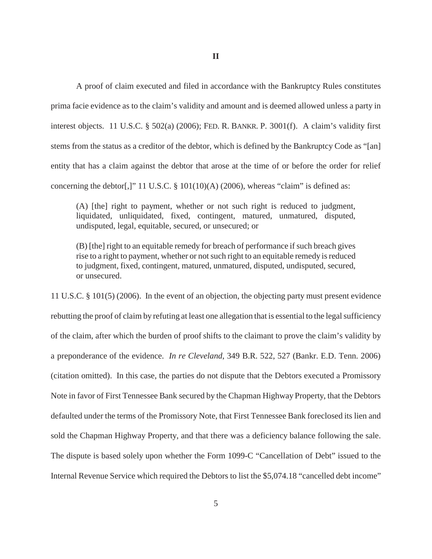**II**

A proof of claim executed and filed in accordance with the Bankruptcy Rules constitutes prima facie evidence as to the claim's validity and amount and is deemed allowed unless a party in interest objects. 11 U.S.C. § 502(a) (2006); FED. R. BANKR. P. 3001(f). A claim's validity first stems from the status as a creditor of the debtor, which is defined by the Bankruptcy Code as "[an] entity that has a claim against the debtor that arose at the time of or before the order for relief concerning the debtor[,]" 11 U.S.C.  $\S$  101(10)(A) (2006), whereas "claim" is defined as:

(A) [the] right to payment, whether or not such right is reduced to judgment, liquidated, unliquidated, fixed, contingent, matured, unmatured, disputed, undisputed, legal, equitable, secured, or unsecured; or

(B) [the] right to an equitable remedy for breach of performance if such breach gives rise to a right to payment, whether or not such right to an equitable remedy is reduced to judgment, fixed, contingent, matured, unmatured, disputed, undisputed, secured, or unsecured.

11 U.S.C. § 101(5) (2006). In the event of an objection, the objecting party must present evidence rebutting the proof of claim by refuting at least one allegation that is essential to the legal sufficiency of the claim, after which the burden of proof shifts to the claimant to prove the claim's validity by a preponderance of the evidence. *In re Cleveland*, 349 B.R. 522, 527 (Bankr. E.D. Tenn. 2006) (citation omitted). In this case, the parties do not dispute that the Debtors executed a Promissory Note in favor of First Tennessee Bank secured by the Chapman Highway Property, that the Debtors defaulted under the terms of the Promissory Note, that First Tennessee Bank foreclosed its lien and sold the Chapman Highway Property, and that there was a deficiency balance following the sale. The dispute is based solely upon whether the Form 1099-C "Cancellation of Debt" issued to the Internal Revenue Service which required the Debtors to list the \$5,074.18 "cancelled debt income"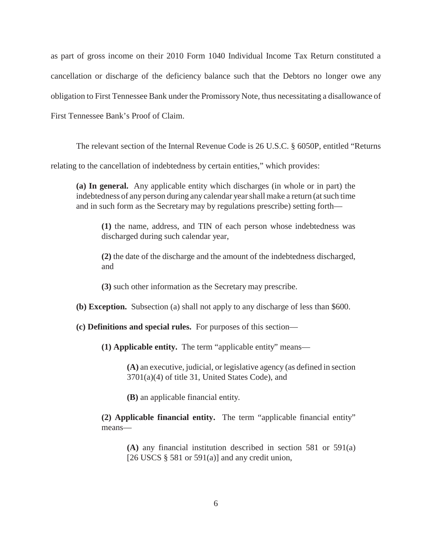as part of gross income on their 2010 Form 1040 Individual Income Tax Return constituted a cancellation or discharge of the deficiency balance such that the Debtors no longer owe any obligation to First Tennessee Bank under the Promissory Note, thus necessitating a disallowance of First Tennessee Bank's Proof of Claim.

The relevant section of the Internal Revenue Code is 26 U.S.C. § 6050P, entitled "Returns

relating to the cancellation of indebtedness by certain entities," which provides:

**(a) In general.** Any applicable entity which discharges (in whole or in part) the indebtedness of any person during any calendar year shall make a return (at such time and in such form as the Secretary may by regulations prescribe) setting forth—

**(1)** the name, address, and TIN of each person whose indebtedness was discharged during such calendar year,

**(2)** the date of the discharge and the amount of the indebtedness discharged, and

**(3)** such other information as the Secretary may prescribe.

**(b) Exception.** Subsection (a) shall not apply to any discharge of less than \$600.

**(c) Definitions and special rules.** For purposes of this section—

**(1) Applicable entity.** The term "applicable entity" means—

**(A)** an executive, judicial, or legislative agency (as defined in section 3701(a)(4) of title 31, United States Code), and

**(B)** an applicable financial entity.

**(2) Applicable financial entity.** The term "applicable financial entity" means—

**(A)** any financial institution described in section 581 or 591(a) [26 USCS  $\S$  581 or 591(a)] and any credit union,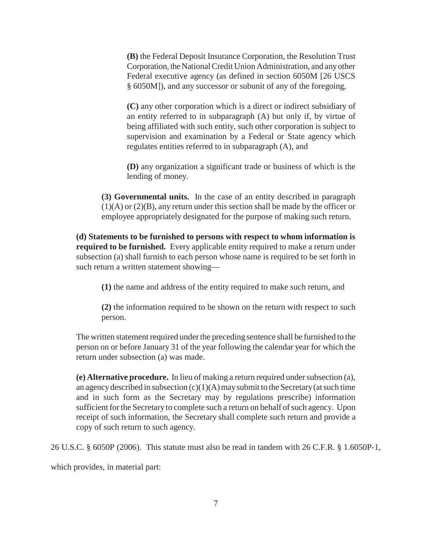**(B)** the Federal Deposit Insurance Corporation, the Resolution Trust Corporation, the National Credit Union Administration, and any other Federal executive agency (as defined in section 6050M [26 USCS § 6050M]), and any successor or subunit of any of the foregoing,

**(C)** any other corporation which is a direct or indirect subsidiary of an entity referred to in subparagraph (A) but only if, by virtue of being affiliated with such entity, such other corporation is subject to supervision and examination by a Federal or State agency which regulates entities referred to in subparagraph (A), and

**(D)** any organization a significant trade or business of which is the lending of money.

**(3) Governmental units.** In the case of an entity described in paragraph (1)(A) or (2)(B), any return under this section shall be made by the officer or employee appropriately designated for the purpose of making such return.

**(d) Statements to be furnished to persons with respect to whom information is required to be furnished.** Every applicable entity required to make a return under subsection (a) shall furnish to each person whose name is required to be set forth in such return a written statement showing—

**(1)** the name and address of the entity required to make such return, and

**(2)** the information required to be shown on the return with respect to such person.

The written statement required under the preceding sentence shall be furnished to the person on or before January 31 of the year following the calendar year for which the return under subsection (a) was made.

**(e) Alternative procedure.** In lieu of making a return required under subsection (a), an agency described in subsection  $(c)(1)(A)$  may submit to the Secretary (at such time and in such form as the Secretary may by regulations prescribe) information sufficient for the Secretary to complete such a return on behalf of such agency. Upon receipt of such information, the Secretary shall complete such return and provide a copy of such return to such agency.

26 U.S.C. § 6050P (2006). This statute must also be read in tandem with 26 C.F.R. § 1.6050P-1,

which provides, in material part: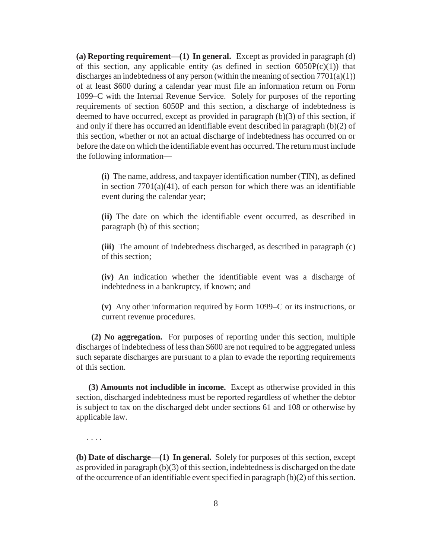**(a) Reporting requirement—(1) In general.** Except as provided in paragraph (d) of this section, any applicable entity (as defined in section  $6050P(c)(1)$ ) that discharges an indebtedness of any person (within the meaning of section  $7701(a)(1)$ ) of at least \$600 during a calendar year must file an information return on Form 1099–C with the Internal Revenue Service. Solely for purposes of the reporting requirements of section 6050P and this section, a discharge of indebtedness is deemed to have occurred, except as provided in paragraph (b)(3) of this section, if and only if there has occurred an identifiable event described in paragraph (b)(2) of this section, whether or not an actual discharge of indebtedness has occurred on or before the date on which the identifiable event has occurred. The return must include the following information—

**(i)** The name, address, and taxpayer identification number (TIN), as defined in section  $7701(a)(41)$ , of each person for which there was an identifiable event during the calendar year;

**(ii)** The date on which the identifiable event occurred, as described in paragraph (b) of this section;

**(iii)** The amount of indebtedness discharged, as described in paragraph (c) of this section;

**(iv)** An indication whether the identifiable event was a discharge of indebtedness in a bankruptcy, if known; and

**(v)** Any other information required by Form 1099–C or its instructions, or current revenue procedures.

 **(2) No aggregation.** For purposes of reporting under this section, multiple discharges of indebtedness of less than \$600 are not required to be aggregated unless such separate discharges are pursuant to a plan to evade the reporting requirements of this section.

 **(3) Amounts not includible in income.** Except as otherwise provided in this section, discharged indebtedness must be reported regardless of whether the debtor is subject to tax on the discharged debt under sections 61 and 108 or otherwise by applicable law.

. . . .

**(b) Date of discharge—(1) In general.** Solely for purposes of this section, except as provided in paragraph (b)(3) of this section, indebtedness is discharged on the date of the occurrence of an identifiable event specified in paragraph (b)(2) of this section.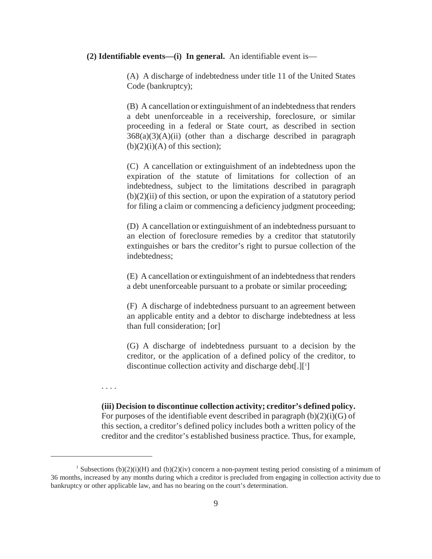#### **(2) Identifiable events—(i) In general.** An identifiable event is—

(A) A discharge of indebtedness under title 11 of the United States Code (bankruptcy);

(B) A cancellation or extinguishment of an indebtedness that renders a debt unenforceable in a receivership, foreclosure, or similar proceeding in a federal or State court, as described in section  $368(a)(3)(A)(ii)$  (other than a discharge described in paragraph  $(b)(2)(i)(A)$  of this section);

(C) A cancellation or extinguishment of an indebtedness upon the expiration of the statute of limitations for collection of an indebtedness, subject to the limitations described in paragraph  $(b)(2)(ii)$  of this section, or upon the expiration of a statutory period for filing a claim or commencing a deficiency judgment proceeding;

(D) A cancellation or extinguishment of an indebtedness pursuant to an election of foreclosure remedies by a creditor that statutorily extinguishes or bars the creditor's right to pursue collection of the indebtedness;

(E) A cancellation or extinguishment of an indebtedness that renders a debt unenforceable pursuant to a probate or similar proceeding;

(F) A discharge of indebtedness pursuant to an agreement between an applicable entity and a debtor to discharge indebtedness at less than full consideration; [or]

(G) A discharge of indebtedness pursuant to a decision by the creditor, or the application of a defined policy of the creditor, to discontinue collection activity and discharge debt[.][<sup>1</sup>]

. . . .

**(iii) Decision to discontinue collection activity; creditor's defined policy.** For purposes of the identifiable event described in paragraph  $(b)(2)(i)(G)$  of this section, a creditor's defined policy includes both a written policy of the creditor and the creditor's established business practice. Thus, for example,

<sup>&</sup>lt;sup>1</sup> Subsections (b)(2)(i)(H) and (b)(2)(iv) concern a non-payment testing period consisting of a minimum of 36 months, increased by any months during which a creditor is precluded from engaging in collection activity due to bankruptcy or other applicable law, and has no bearing on the court's determination.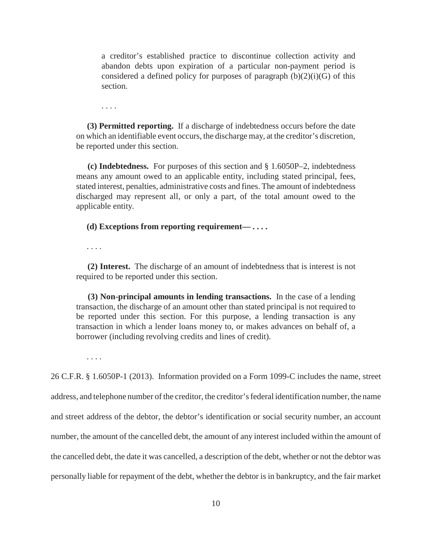a creditor's established practice to discontinue collection activity and abandon debts upon expiration of a particular non-payment period is considered a defined policy for purposes of paragraph  $(b)(2)(i)(G)$  of this section.

. . . .

 **(3) Permitted reporting.** If a discharge of indebtedness occurs before the date on which an identifiable event occurs, the discharge may, at the creditor's discretion, be reported under this section.

 **(c) Indebtedness.** For purposes of this section and § 1.6050P–2, indebtedness means any amount owed to an applicable entity, including stated principal, fees, stated interest, penalties, administrative costs and fines. The amount of indebtedness discharged may represent all, or only a part, of the total amount owed to the applicable entity.

 **(d) Exceptions from reporting requirement— . . . .**

. . . .

 **(2) Interest.** The discharge of an amount of indebtedness that is interest is not required to be reported under this section.

 **(3) Non-principal amounts in lending transactions.** In the case of a lending transaction, the discharge of an amount other than stated principal is not required to be reported under this section. For this purpose, a lending transaction is any transaction in which a lender loans money to, or makes advances on behalf of, a borrower (including revolving credits and lines of credit).

. . . .

26 C.F.R. § 1.6050P-1 (2013). Information provided on a Form 1099-C includes the name, street address, and telephone number of the creditor, the creditor's federal identification number, the name and street address of the debtor, the debtor's identification or social security number, an account number, the amount of the cancelled debt, the amount of any interest included within the amount of the cancelled debt, the date it was cancelled, a description of the debt, whether or not the debtor was personally liable for repayment of the debt, whether the debtor is in bankruptcy, and the fair market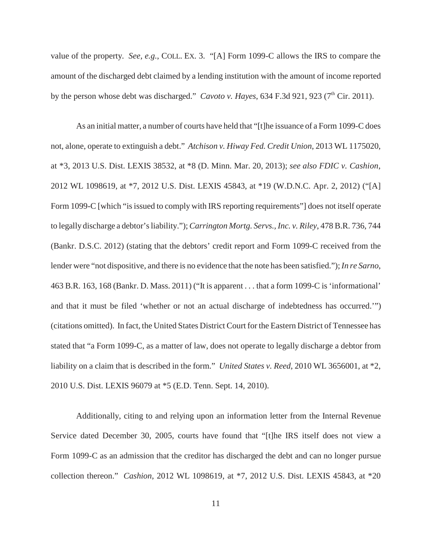value of the property. *See, e.g.*, COLL. EX. 3. "[A] Form 1099-C allows the IRS to compare the amount of the discharged debt claimed by a lending institution with the amount of income reported by the person whose debt was discharged." *Cavoto v. Hayes*, 634 F.3d 921, 923 (7<sup>th</sup> Cir. 2011).

As an initial matter, a number of courts have held that "[t]he issuance of a Form 1099-C does not, alone, operate to extinguish a debt." *Atchison v. Hiway Fed. Credit Union*, 2013 WL 1175020, at \*3, 2013 U.S. Dist. LEXIS 38532, at \*8 (D. Minn. Mar. 20, 2013); *see also FDIC v. Cashion*, 2012 WL 1098619, at \*7, 2012 U.S. Dist. LEXIS 45843, at \*19 (W.D.N.C. Apr. 2, 2012) ("[A] Form 1099-C [which "is issued to comply with IRS reporting requirements"] does not itself operate to legally discharge a debtor's liability."); *Carrington Mortg. Servs., Inc. v. Riley*, 478 B.R. 736, 744 (Bankr. D.S.C. 2012) (stating that the debtors' credit report and Form 1099-C received from the lender were "not dispositive, and there is no evidence that the note has been satisfied."); *In re Sarno*, 463 B.R. 163, 168 (Bankr. D. Mass. 2011) ("It is apparent . . . that a form 1099-C is 'informational' and that it must be filed 'whether or not an actual discharge of indebtedness has occurred.'") (citations omitted). In fact, the United States District Court for the Eastern District of Tennessee has stated that "a Form 1099-C, as a matter of law, does not operate to legally discharge a debtor from liability on a claim that is described in the form." *United States v. Reed*, 2010 WL 3656001, at \*2, 2010 U.S. Dist. LEXIS 96079 at \*5 (E.D. Tenn. Sept. 14, 2010).

Additionally, citing to and relying upon an information letter from the Internal Revenue Service dated December 30, 2005, courts have found that "[t]he IRS itself does not view a Form 1099-C as an admission that the creditor has discharged the debt and can no longer pursue collection thereon." *Cashion*, 2012 WL 1098619, at \*7, 2012 U.S. Dist. LEXIS 45843, at \*20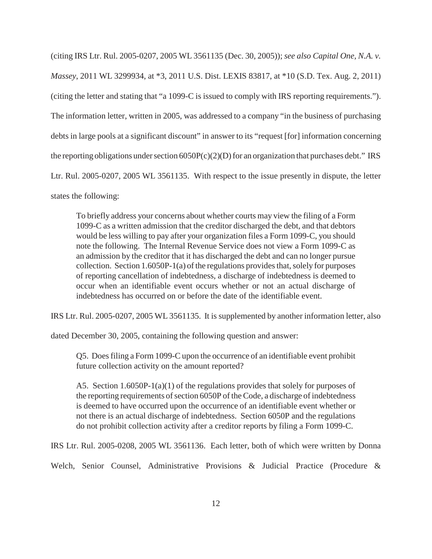(citing IRS Ltr. Rul. 2005-0207, 2005 WL 3561135 (Dec. 30, 2005)); *see also Capital One, N.A. v. Massey*, 2011 WL 3299934, at \*3, 2011 U.S. Dist. LEXIS 83817, at \*10 (S.D. Tex. Aug. 2, 2011) (citing the letter and stating that "a 1099-C is issued to comply with IRS reporting requirements."). The information letter, written in 2005, was addressed to a company "in the business of purchasing debts in large pools at a significant discount" in answer to its "request [for] information concerning the reporting obligations under section  $6050P(c)(2)(D)$  for an organization that purchases debt." IRS Ltr. Rul. 2005-0207, 2005 WL 3561135. With respect to the issue presently in dispute, the letter states the following:

To briefly address your concerns about whether courts may view the filing of a Form 1099-C as a written admission that the creditor discharged the debt, and that debtors would be less willing to pay after your organization files a Form 1099-C, you should note the following. The Internal Revenue Service does not view a Form 1099-C as an admission by the creditor that it has discharged the debt and can no longer pursue collection. Section 1.6050P-1(a) of the regulations provides that, solely for purposes of reporting cancellation of indebtedness, a discharge of indebtedness is deemed to occur when an identifiable event occurs whether or not an actual discharge of indebtedness has occurred on or before the date of the identifiable event.

IRS Ltr. Rul. 2005-0207, 2005 WL 3561135. It is supplemented by another information letter, also

dated December 30, 2005, containing the following question and answer:

Q5. Does filing a Form 1099-C upon the occurrence of an identifiable event prohibit future collection activity on the amount reported?

A5. Section 1.6050P-1(a)(1) of the regulations provides that solely for purposes of the reporting requirements of section 6050P of the Code, a discharge of indebtedness is deemed to have occurred upon the occurrence of an identifiable event whether or not there is an actual discharge of indebtedness. Section 6050P and the regulations do not prohibit collection activity after a creditor reports by filing a Form 1099-C.

IRS Ltr. Rul. 2005-0208, 2005 WL 3561136. Each letter, both of which were written by Donna

Welch, Senior Counsel, Administrative Provisions & Judicial Practice (Procedure &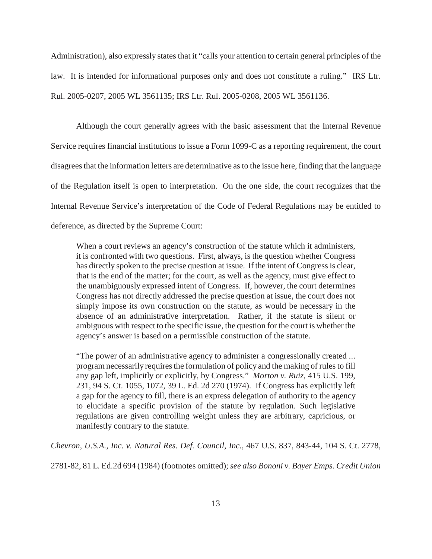Administration), also expressly states that it "calls your attention to certain general principles of the law. It is intended for informational purposes only and does not constitute a ruling." IRS Ltr. Rul. 2005-0207, 2005 WL 3561135; IRS Ltr. Rul. 2005-0208, 2005 WL 3561136.

Although the court generally agrees with the basic assessment that the Internal Revenue Service requires financial institutions to issue a Form 1099-C as a reporting requirement, the court disagrees that the information letters are determinative as to the issue here, finding that the language of the Regulation itself is open to interpretation. On the one side, the court recognizes that the Internal Revenue Service's interpretation of the Code of Federal Regulations may be entitled to deference, as directed by the Supreme Court:

When a court reviews an agency's construction of the statute which it administers, it is confronted with two questions. First, always, is the question whether Congress has directly spoken to the precise question at issue. If the intent of Congress is clear, that is the end of the matter; for the court, as well as the agency, must give effect to the unambiguously expressed intent of Congress. If, however, the court determines Congress has not directly addressed the precise question at issue, the court does not simply impose its own construction on the statute, as would be necessary in the absence of an administrative interpretation. Rather, if the statute is silent or ambiguous with respect to the specific issue, the question for the court is whether the agency's answer is based on a permissible construction of the statute.

"The power of an administrative agency to administer a congressionally created ... program necessarily requires the formulation of policy and the making of rules to fill any gap left, implicitly or explicitly, by Congress." *Morton v. Ruiz*, 415 U.S. 199, 231, 94 S. Ct. 1055, 1072, 39 L. Ed. 2d 270 (1974). If Congress has explicitly left a gap for the agency to fill, there is an express delegation of authority to the agency to elucidate a specific provision of the statute by regulation. Such legislative regulations are given controlling weight unless they are arbitrary, capricious, or manifestly contrary to the statute.

*Chevron, U.S.A., Inc. v. Natural Res. Def. Council, Inc.*, 467 U.S. 837, 843-44, 104 S. Ct. 2778,

2781-82, 81 L. Ed.2d 694 (1984) (footnotes omitted); *see also Bononi v. Bayer Emps. Credit Union*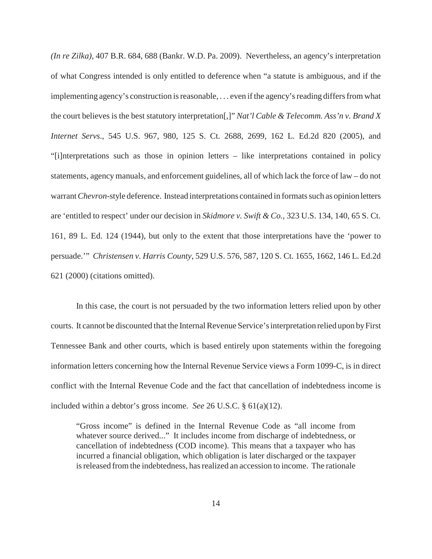*(In re Zilka)*, 407 B.R. 684, 688 (Bankr. W.D. Pa. 2009). Nevertheless, an agency's interpretation of what Congress intended is only entitled to deference when "a statute is ambiguous, and if the implementing agency's construction is reasonable, . . . even if the agency's reading differs from what the court believes is the best statutory interpretation[,]" *Nat'l Cable & Telecomm. Ass'n v. Brand X Internet Servs*., 545 U.S. 967, 980, 125 S. Ct. 2688, 2699, 162 L. Ed.2d 820 (2005), and "[i]nterpretations such as those in opinion letters – like interpretations contained in policy statements, agency manuals, and enforcement guidelines, all of which lack the force of law – do not warrant *Chevron*-style deference. Instead interpretations contained in formats such as opinion letters are 'entitled to respect' under our decision in *Skidmore v. Swift & Co.*, 323 U.S. 134, 140, 65 S. Ct. 161, 89 L. Ed. 124 (1944), but only to the extent that those interpretations have the 'power to persuade.'" *Christensen v. Harris County*, 529 U.S. 576, 587, 120 S. Ct. 1655, 1662, 146 L. Ed.2d 621 (2000) (citations omitted).

In this case, the court is not persuaded by the two information letters relied upon by other courts. It cannot be discounted that the Internal Revenue Service's interpretation relied upon by First Tennessee Bank and other courts, which is based entirely upon statements within the foregoing information letters concerning how the Internal Revenue Service views a Form 1099-C, is in direct conflict with the Internal Revenue Code and the fact that cancellation of indebtedness income is included within a debtor's gross income. *See* 26 U.S.C. § 61(a)(12).

"Gross income" is defined in the Internal Revenue Code as "all income from whatever source derived..." It includes income from discharge of indebtedness, or cancellation of indebtedness (COD income). This means that a taxpayer who has incurred a financial obligation, which obligation is later discharged or the taxpayer is released from the indebtedness, has realized an accession to income. The rationale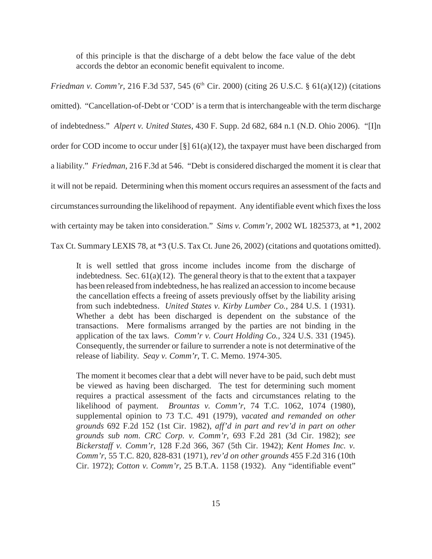of this principle is that the discharge of a debt below the face value of the debt accords the debtor an economic benefit equivalent to income.

*Friedman v. Comm'r,* 216 F.3d 537, 545 (6<sup>th</sup> Cir. 2000) (citing 26 U.S.C. § 61(a)(12)) (citations omitted). "Cancellation-of-Debt or 'COD' is a term that is interchangeable with the term discharge of indebtedness." *Alpert v. United States*, 430 F. Supp. 2d 682, 684 n.1 (N.D. Ohio 2006). "[I]n order for COD income to occur under  $\lceil \frac{8}{9} \rceil 61(a)(12)$ , the taxpayer must have been discharged from a liability." *Friedman*, 216 F.3d at 546. "Debt is considered discharged the moment it is clear that it will not be repaid. Determining when this moment occurs requires an assessment of the facts and circumstances surrounding the likelihood of repayment. Any identifiable event which fixes the loss with certainty may be taken into consideration." *Sims v. Comm'r*, 2002 WL 1825373, at \*1, 2002

Tax Ct. Summary LEXIS 78, at \*3 (U.S. Tax Ct. June 26, 2002) (citations and quotations omitted).

It is well settled that gross income includes income from the discharge of indebtedness. Sec.  $61(a)(12)$ . The general theory is that to the extent that a taxpayer has been released from indebtedness, he has realized an accession to income because the cancellation effects a freeing of assets previously offset by the liability arising from such indebtedness. *United States v. Kirby Lumber Co.*, 284 U.S. 1 (1931). Whether a debt has been discharged is dependent on the substance of the transactions. Mere formalisms arranged by the parties are not binding in the application of the tax laws. *Comm'r v. Court Holding Co.*, 324 U.S. 331 (1945). Consequently, the surrender or failure to surrender a note is not determinative of the release of liability. *Seay v. Comm'r*, T. C. Memo. 1974-305.

The moment it becomes clear that a debt will never have to be paid, such debt must be viewed as having been discharged. The test for determining such moment requires a practical assessment of the facts and circumstances relating to the likelihood of payment. *Brountas v. Comm'r*, 74 T.C. 1062, 1074 (1980), supplemental opinion to 73 T.C. 491 (1979), *vacated and remanded on other grounds* 692 F.2d 152 (1st Cir. 1982), *aff'd in part and rev'd in part on other grounds sub nom*. *CRC Corp. v. Comm'r*, 693 F.2d 281 (3d Cir. 1982); *see Bickerstaff v. Comm'r*, 128 F.2d 366, 367 (5th Cir. 1942); *Kent Homes Inc. v. Comm'r*, 55 T.C. 820, 828-831 (1971), *rev'd on other grounds* 455 F.2d 316 (10th Cir. 1972); *Cotton v. Comm'r*, 25 B.T.A. 1158 (1932). Any "identifiable event"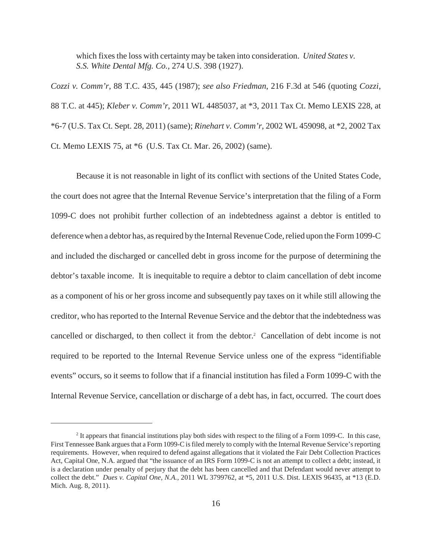which fixes the loss with certainty may be taken into consideration. *United States v. S.S. White Dental Mfg. Co.,* 274 U.S. 398 (1927).

*Cozzi v. Comm'r*, 88 T.C. 435, 445 (1987); *see also Friedman*, 216 F.3d at 546 (quoting *Cozzi*, 88 T.C. at 445); *Kleber v. Comm'r*, 2011 WL 4485037, at \*3, 2011 Tax Ct. Memo LEXIS 228, at \*6-7 (U.S. Tax Ct. Sept. 28, 2011) (same); *Rinehart v. Comm'r*, 2002 WL 459098, at \*2, 2002 Tax Ct. Memo LEXIS 75, at \*6 (U.S. Tax Ct. Mar. 26, 2002) (same).

Because it is not reasonable in light of its conflict with sections of the United States Code, the court does not agree that the Internal Revenue Service's interpretation that the filing of a Form 1099-C does not prohibit further collection of an indebtedness against a debtor is entitled to deference when a debtor has, as required by the Internal Revenue Code, relied upon the Form 1099-C and included the discharged or cancelled debt in gross income for the purpose of determining the debtor's taxable income. It is inequitable to require a debtor to claim cancellation of debt income as a component of his or her gross income and subsequently pay taxes on it while still allowing the creditor, who has reported to the Internal Revenue Service and the debtor that the indebtedness was cancelled or discharged, to then collect it from the debtor.<sup>2</sup> Cancellation of debt income is not required to be reported to the Internal Revenue Service unless one of the express "identifiable events" occurs, so it seems to follow that if a financial institution has filed a Form 1099-C with the Internal Revenue Service, cancellation or discharge of a debt has, in fact, occurred. The court does

 $<sup>2</sup>$  It appears that financial institutions play both sides with respect to the filing of a Form 1099-C. In this case,</sup> First Tennessee Bank argues that a Form 1099-C is filed merely to comply with the Internal Revenue Service's reporting requirements. However, when required to defend against allegations that it violated the Fair Debt Collection Practices Act, Capital One, N.A. argued that "the issuance of an IRS Form 1099-C is not an attempt to collect a debt; instead, it is a declaration under penalty of perjury that the debt has been cancelled and that Defendant would never attempt to collect the debt." *Dues v. Capital One, N.A.*, 2011 WL 3799762, at \*5, 2011 U.S. Dist. LEXIS 96435, at \*13 (E.D. Mich. Aug. 8, 2011).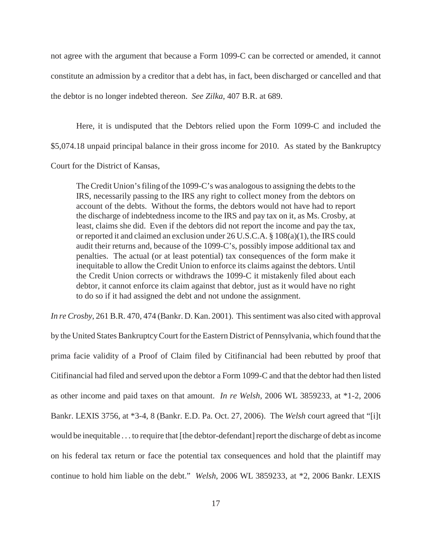not agree with the argument that because a Form 1099-C can be corrected or amended, it cannot constitute an admission by a creditor that a debt has, in fact, been discharged or cancelled and that the debtor is no longer indebted thereon. *See Zilka*, 407 B.R. at 689.

Here, it is undisputed that the Debtors relied upon the Form 1099-C and included the \$5,074.18 unpaid principal balance in their gross income for 2010. As stated by the Bankruptcy Court for the District of Kansas,

The Credit Union's filing of the 1099-C's was analogous to assigning the debts to the IRS, necessarily passing to the IRS any right to collect money from the debtors on account of the debts. Without the forms, the debtors would not have had to report the discharge of indebtedness income to the IRS and pay tax on it, as Ms. Crosby, at least, claims she did. Even if the debtors did not report the income and pay the tax, or reported it and claimed an exclusion under 26 U.S.C.A. § 108(a)(1), the IRS could audit their returns and, because of the 1099-C's, possibly impose additional tax and penalties. The actual (or at least potential) tax consequences of the form make it inequitable to allow the Credit Union to enforce its claims against the debtors. Until the Credit Union corrects or withdraws the 1099-C it mistakenly filed about each debtor, it cannot enforce its claim against that debtor, just as it would have no right to do so if it had assigned the debt and not undone the assignment.

*In re Crosby*, 261 B.R. 470, 474 (Bankr. D. Kan. 2001). This sentiment was also cited with approval by the United States Bankruptcy Court for the Eastern District of Pennsylvania, which found that the prima facie validity of a Proof of Claim filed by Citifinancial had been rebutted by proof that Citifinancial had filed and served upon the debtor a Form 1099-C and that the debtor had then listed as other income and paid taxes on that amount. *In re Welsh*, 2006 WL 3859233, at \*1-2, 2006 Bankr. LEXIS 3756, at \*3-4, 8 (Bankr. E.D. Pa. Oct. 27, 2006). The *Welsh* court agreed that "[i]t would be inequitable . . . to require that [the debtor-defendant] report the discharge of debt as income on his federal tax return or face the potential tax consequences and hold that the plaintiff may continue to hold him liable on the debt." *Welsh*, 2006 WL 3859233, at \*2, 2006 Bankr. LEXIS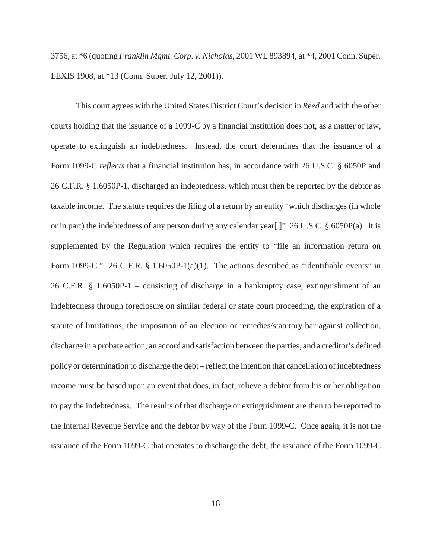3756, at \*6 (quoting *Franklin Mgmt. Corp. v. Nicholas*, 2001 WL 893894, at \*4, 2001 Conn. Super. LEXIS 1908, at \*13 (Conn. Super. July 12, 2001)).

This court agrees with the United States District Court's decision in *Reed* and with the other courts holding that the issuance of a 1099-C by a financial institution does not, as a matter of law, operate to extinguish an indebtedness. Instead, the court determines that the issuance of a Form 1099-C *reflects* that a financial institution has, in accordance with 26 U.S.C. § 6050P and 26 C.F.R. § 1.6050P-1, discharged an indebtedness, which must then be reported by the debtor as taxable income. The statute requires the filing of a return by an entity "which discharges (in whole or in part) the indebtedness of any person during any calendar year[.]" 26 U.S.C. § 6050P(a). It is supplemented by the Regulation which requires the entity to "file an information return on Form 1099-C." 26 C.F.R. § 1.6050P-1(a)(1). The actions described as "identifiable events" in 26 C.F.R. § 1.6050P-1 – consisting of discharge in a bankruptcy case, extinguishment of an indebtedness through foreclosure on similar federal or state court proceeding, the expiration of a statute of limitations, the imposition of an election or remedies/statutory bar against collection, discharge in a probate action, an accord and satisfaction between the parties, and a creditor's defined policy or determination to discharge the debt – reflect the intention that cancellation of indebtedness income must be based upon an event that does, in fact, relieve a debtor from his or her obligation to pay the indebtedness. The results of that discharge or extinguishment are then to be reported to the Internal Revenue Service and the debtor by way of the Form 1099-C. Once again, it is not the issuance of the Form 1099-C that operates to discharge the debt; the issuance of the Form 1099-C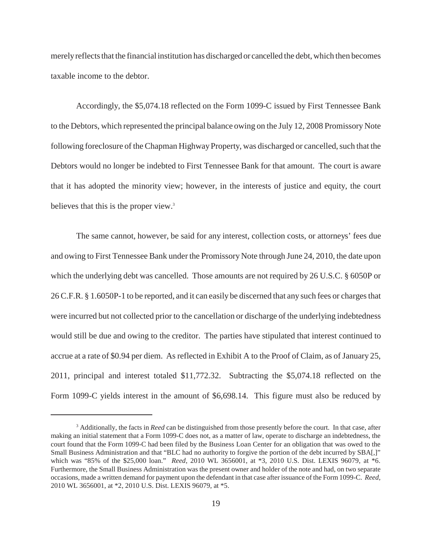merely reflects that the financial institution has discharged or cancelled the debt, which then becomes taxable income to the debtor.

Accordingly, the \$5,074.18 reflected on the Form 1099-C issued by First Tennessee Bank to the Debtors, which represented the principal balance owing on the July 12, 2008 Promissory Note following foreclosure of the Chapman Highway Property, was discharged or cancelled, such that the Debtors would no longer be indebted to First Tennessee Bank for that amount. The court is aware that it has adopted the minority view; however, in the interests of justice and equity, the court believes that this is the proper view.<sup>3</sup>

The same cannot, however, be said for any interest, collection costs, or attorneys' fees due and owing to First Tennessee Bank under the Promissory Note through June 24, 2010, the date upon which the underlying debt was cancelled. Those amounts are not required by 26 U.S.C. § 6050P or 26 C.F.R. § 1.6050P-1 to be reported, and it can easily be discerned that any such fees or charges that were incurred but not collected prior to the cancellation or discharge of the underlying indebtedness would still be due and owing to the creditor. The parties have stipulated that interest continued to accrue at a rate of \$0.94 per diem. As reflected in Exhibit A to the Proof of Claim, as of January 25, 2011, principal and interest totaled \$11,772.32. Subtracting the \$5,074.18 reflected on the Form 1099-C yields interest in the amount of \$6,698.14. This figure must also be reduced by

<sup>&</sup>lt;sup>3</sup> Additionally, the facts in *Reed* can be distinguished from those presently before the court. In that case, after making an initial statement that a Form 1099-C does not, as a matter of law, operate to discharge an indebtedness, the court found that the Form 1099-C had been filed by the Business Loan Center for an obligation that was owed to the Small Business Administration and that "BLC had no authority to forgive the portion of the debt incurred by SBA[,]" which was "85% of the \$25,000 loan." *Reed*, 2010 WL 3656001, at \*3, 2010 U.S. Dist. LEXIS 96079, at \*6. Furthermore, the Small Business Administration was the present owner and holder of the note and had, on two separate occasions, made a written demand for payment upon the defendant in that case after issuance of the Form 1099-C. *Reed*, 2010 WL 3656001, at \*2, 2010 U.S. Dist. LEXIS 96079, at \*5.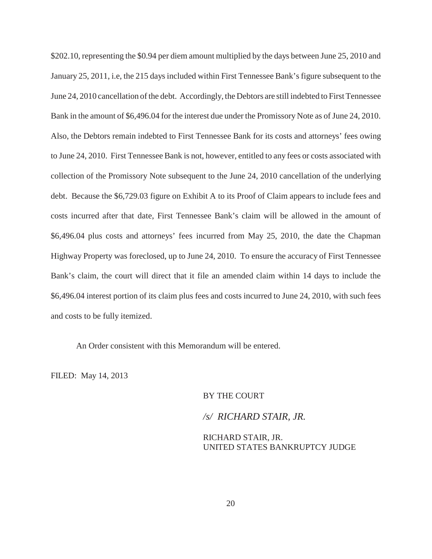\$202.10, representing the \$0.94 per diem amount multiplied by the days between June 25, 2010 and January 25, 2011, i.e, the 215 days included within First Tennessee Bank's figure subsequent to the June 24, 2010 cancellation of the debt. Accordingly, the Debtors are still indebted to First Tennessee Bank in the amount of \$6,496.04 for the interest due under the Promissory Note as of June 24, 2010. Also, the Debtors remain indebted to First Tennessee Bank for its costs and attorneys' fees owing to June 24, 2010. First Tennessee Bank is not, however, entitled to any fees or costs associated with collection of the Promissory Note subsequent to the June 24, 2010 cancellation of the underlying debt. Because the \$6,729.03 figure on Exhibit A to its Proof of Claim appears to include fees and costs incurred after that date, First Tennessee Bank's claim will be allowed in the amount of \$6,496.04 plus costs and attorneys' fees incurred from May 25, 2010, the date the Chapman Highway Property was foreclosed, up to June 24, 2010. To ensure the accuracy of First Tennessee Bank's claim, the court will direct that it file an amended claim within 14 days to include the \$6,496.04 interest portion of its claim plus fees and costs incurred to June 24, 2010, with such fees and costs to be fully itemized.

An Order consistent with this Memorandum will be entered.

FILED: May 14, 2013

BY THE COURT

*/s/ RICHARD STAIR, JR.*

RICHARD STAIR, JR. UNITED STATES BANKRUPTCY JUDGE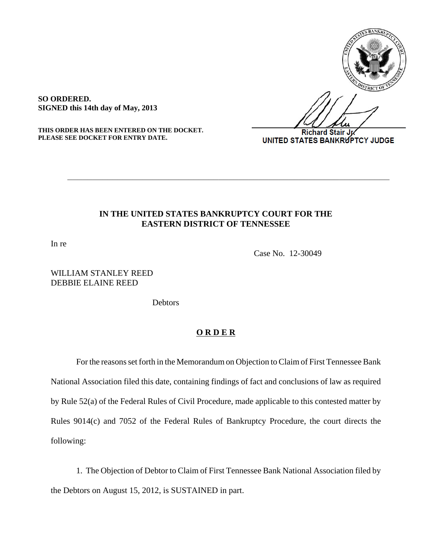

**SO ORDERED. SIGNED this 14th day of May, 2013**

**THIS ORDER HAS BEEN ENTERED ON THE DOCKET. PLEASE SEE DOCKET FOR ENTRY DATE.**

**Richard Stair Jp** UNITED STATES BANKRUPTCY JUDGE

#### **IN THE UNITED STATES BANKRUPTCY COURT FOR THE EASTERN DISTRICT OF TENNESSEE**

**\_\_\_\_\_\_\_\_\_\_\_\_\_\_\_\_\_\_\_\_\_\_\_\_\_\_\_\_\_\_\_\_\_\_\_\_\_\_\_\_\_\_\_\_\_\_\_\_\_\_\_\_\_\_\_\_\_\_\_\_\_\_\_\_**

In re

Case No. 12-30049

# WILLIAM STANLEY REED DEBBIE ELAINE REED

**Debtors** 

#### **O R D E R**

For the reasons set forth in the Memorandum on Objection to Claim of First Tennessee Bank National Association filed this date, containing findings of fact and conclusions of law as required by Rule 52(a) of the Federal Rules of Civil Procedure, made applicable to this contested matter by Rules 9014(c) and 7052 of the Federal Rules of Bankruptcy Procedure, the court directs the following:

1. The Objection of Debtor to Claim of First Tennessee Bank National Association filed by the Debtors on August 15, 2012, is SUSTAINED in part.